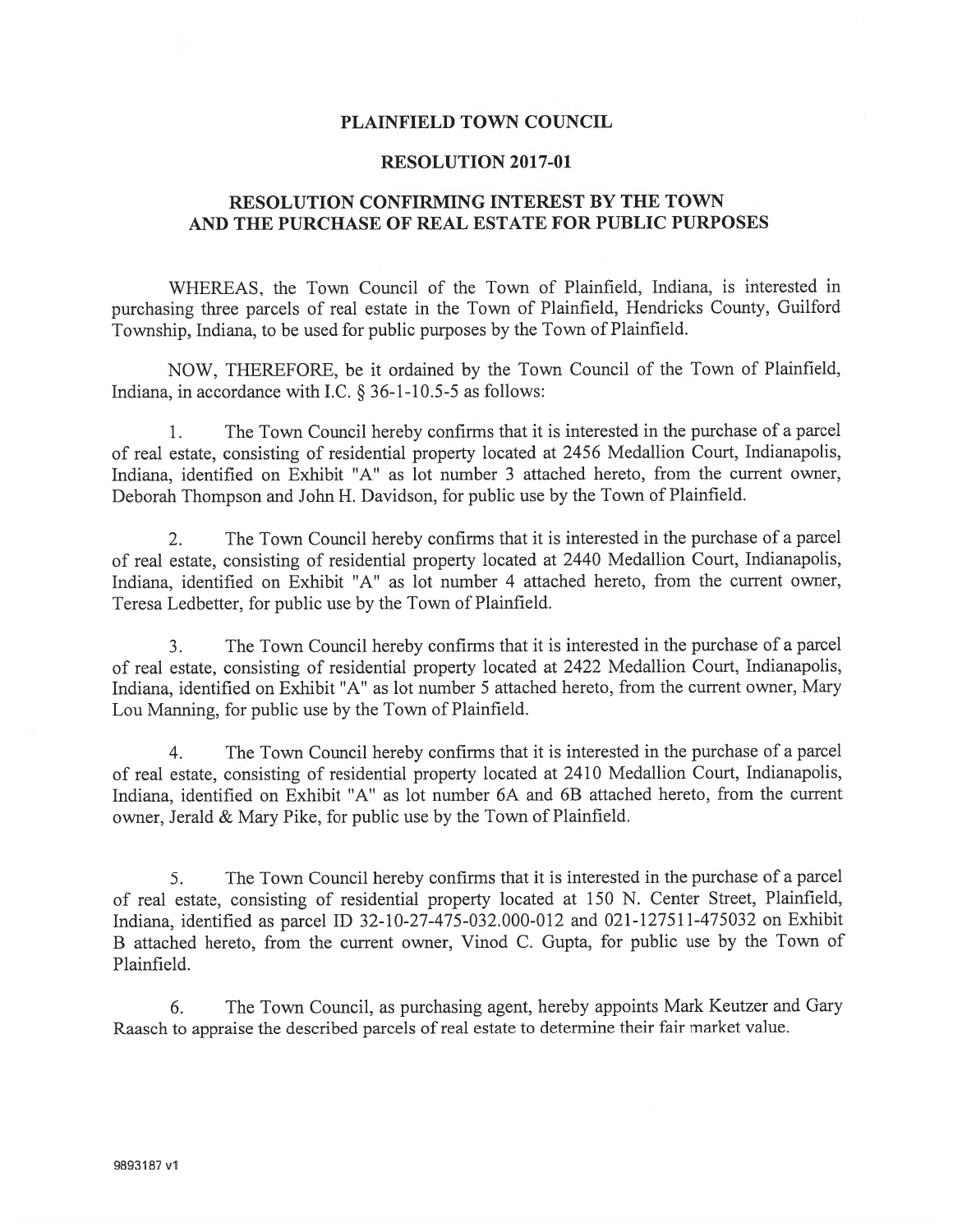## PLAINFIELD TOWN COUNCIL

## RESOLUTION 2017-01

## RESOLUTION CONFIRMING INTEREST BY THE TOWN AND THE PURCHASE OF REAL ESTATE FOR PUBLIC PURPOSES

WHEREAS, the Town Council of the Town of Plainfield, Indiana, is interested in purchasing three parcels of real estate in the Town of Plainfield, Hendricks County, Guilford Township, Indiana, to be used for public purposes by the Town of Plainfield.

NOW, THEREFORE, be it ordained by the Town Council of the Town of Plainfield, Indiana, in accordance with I.C.  $\S 36$ -1-10.5-5 as follows:

1. The Town Council hereby confirms that it is interested in the purchase of <sup>a</sup> parce<sup>l</sup> of real estate, consisting of residential property located at 2456 Medallion Court, Indianapolis, Indiana, identified on Exhibit "A" as lot number 3 attached hereto, from the current owner, Deborah Thompson and John H. Davidson, for public use by the Town of Plainfield.

2. The Town Council hereby confirms that it is interested in the purchase of <sup>a</sup> parce<sup>l</sup> of real estate, consisting of residential property located at <sup>2440</sup> Medallion Court, Indianapolis, Indiana, identified on Exhibit "A" as lot number 4 attached hereto, from the current owner, Teresa Ledbetter, for public use by the Town of Plainfield.

3. The Town Council hereby confirms that it is interested in the purchase of <sup>a</sup> parce<sup>l</sup> of real estate, consisting of residential property located at <sup>2422</sup> Medallion Court, Indianapolis, Indiana, identified on Exhibit "A" as lot number 5 attached hereto, from the current owner, Mary Lou Manning, for public use by the Town of Plainfield.

4. The Town Council hereby confirms that it is interested in the purchase of <sup>a</sup> parce<sup>l</sup> of real estate, consisting of residential property located at <sup>2410</sup> Medallion Court, Indianapolis, Indiana, identified on Exhibit "A" as lot number 6A and 6B attached hereto, from the current owner, Jerald & Mary Pike, for public use by the Town of Plainfield.

5. The Town Council hereby confirms that it is interested in the purchase of <sup>a</sup> parce<sup>l</sup> of real estate, consisting of residential property located at <sup>150</sup> N. Center Street, Plainfield, Indiana, identified as parce<sup>l</sup> ID 32-10-27-475-032.000-012 and 021-127511-475032 on Exhibit <sup>B</sup> attached hereto, from the current owner, Vinod C. Gupta, for public use by the Town of Plainfield.

6. The Town Council, as purchasing agent, hereby appoints Mark Keutzer and Gary Raasch to appraise the described parcels of real estate to determine their fair market value.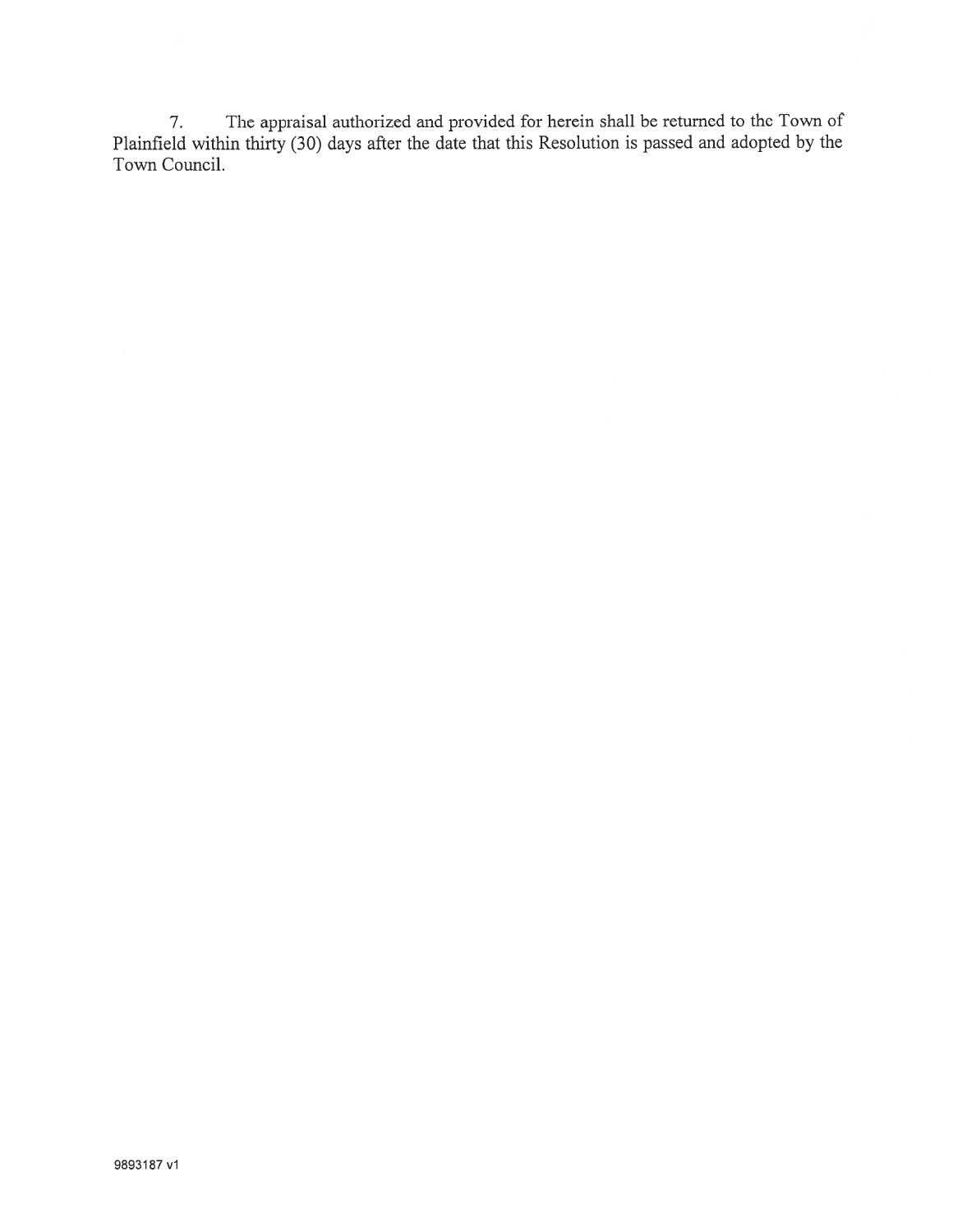7. The appraisal authorized and provided for herein shall be returned to the Town of Plainfield within thirty (30) days after the date that this Resolution is passed and adopted by the Town Council.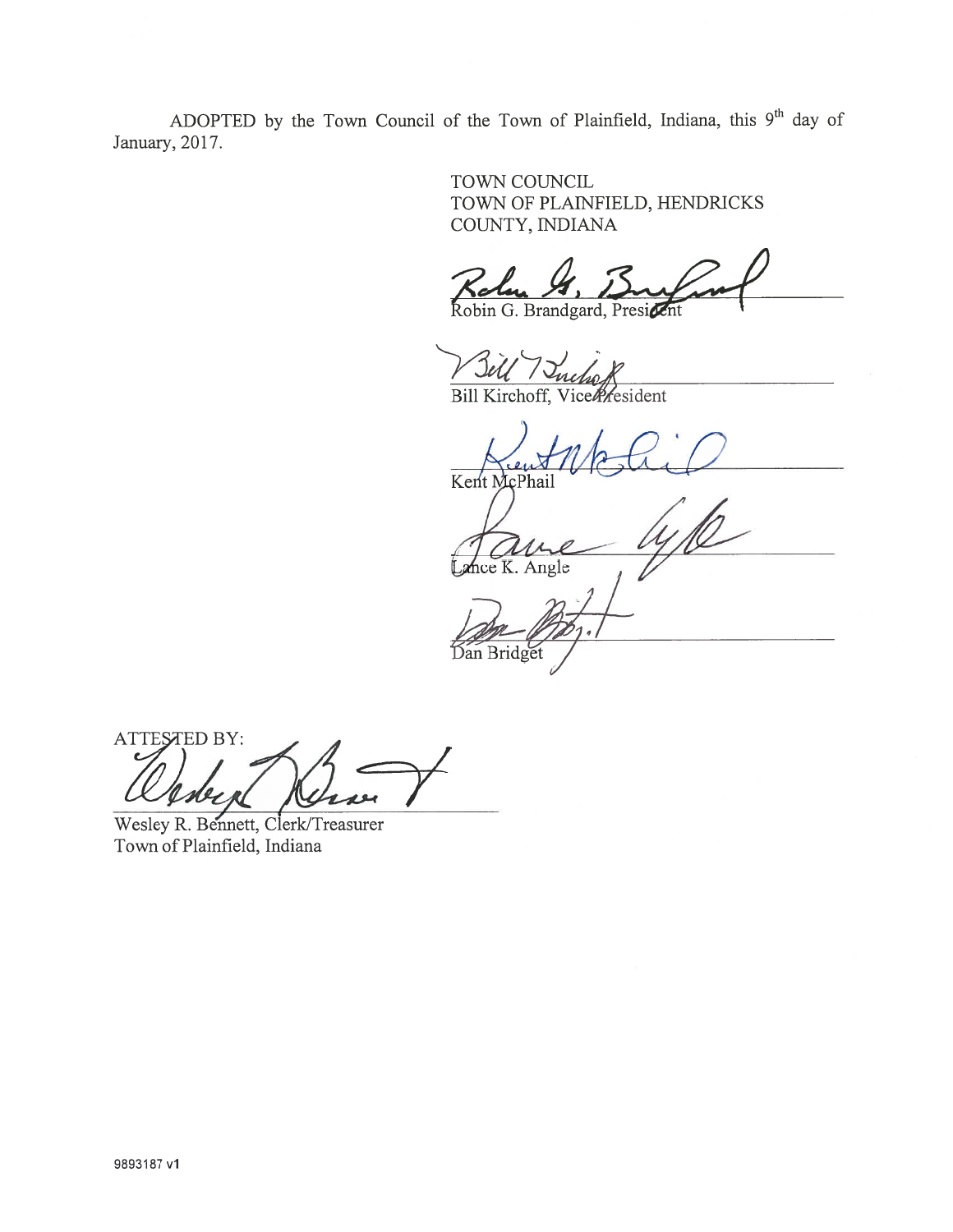ADOPTED by the Town Council of the Town of Plainfield, Indiana, this 9<sup>th</sup> day of January, 2017.

> TOWN COUNCIL TOWN OF PLAINFIELD, HENDRICKS COUNTY, INDIANA

 $K$ er

Robin G. Brandgard, President

Bill Kirchoff, Vicentesident

Kent McPhail

nce K. Angle

Dan Bridget

ATTESTED BY:

Wesley R. Bennett, Clerk/Treasurer Town of Plainfield, Indiana